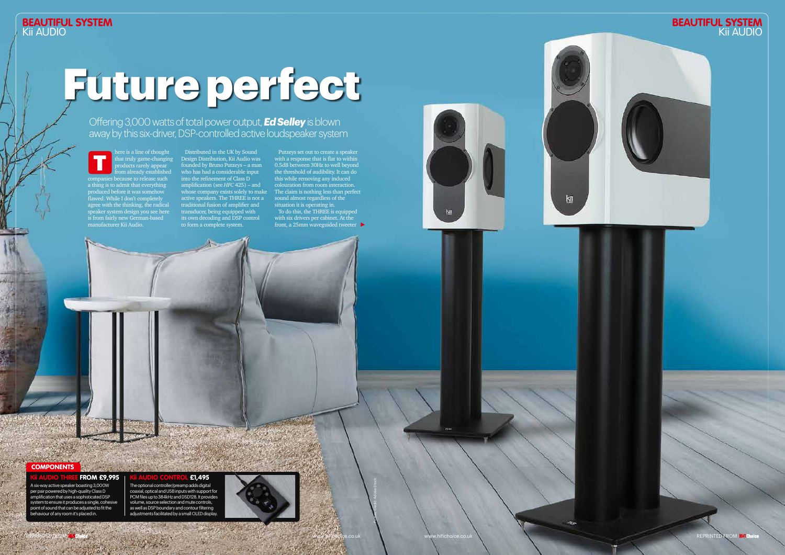Distributed in the UK by Sound Design Distribution, Kii Audio was founded by Bruno Putzeys – a man who has had a considerable input into the refinement of Class D amplification (see *HFC* 425) – and whose company exists solely to make active speakers. The THREE is not a traditional fusion of amplifier and transducer, being equipped with its own decoding and DSP control to form a complete system.

here is a line of thought that truly game-changing products rarely appear from already established companies because to release such a thing is to admit that everything produced before it was somehow flawed. While I don't completely agree with the thinking, the radical speaker system design you see here is from fairly new German-based manufacturer Kii Audio. T



The optional controller/preamp adds digital £1,495

Putzeys set out to create a speaker with a response that is flat to within 0.5dB between 30Hz to well beyond the threshold of audibility. It can do this while removing any induced colouration from room interaction. The claim is nothing less than perfect sound almost regardless of the situation it is operating in.

To do this, the THREE is equipped with six drivers per cabinet. At the front, a 25mm waveguided tweeter

Picture credit: Adobe Stock

**COMPONENTS** 

# Future perfect

Offering 3,000 watts of total power output, *Ed Selley* is blown away by this six-driver, DSP-controlled active loudspeaker system

A six-way active speaker boasting 3,000W per pair powered by high-quality Class D amplification that uses a sophisticated DSP system to ensure it produces a single, cohesive point of sound that can be adjusted to fit the behaviour of any room it's placed in.

**FROM £9,995** 







 $k$